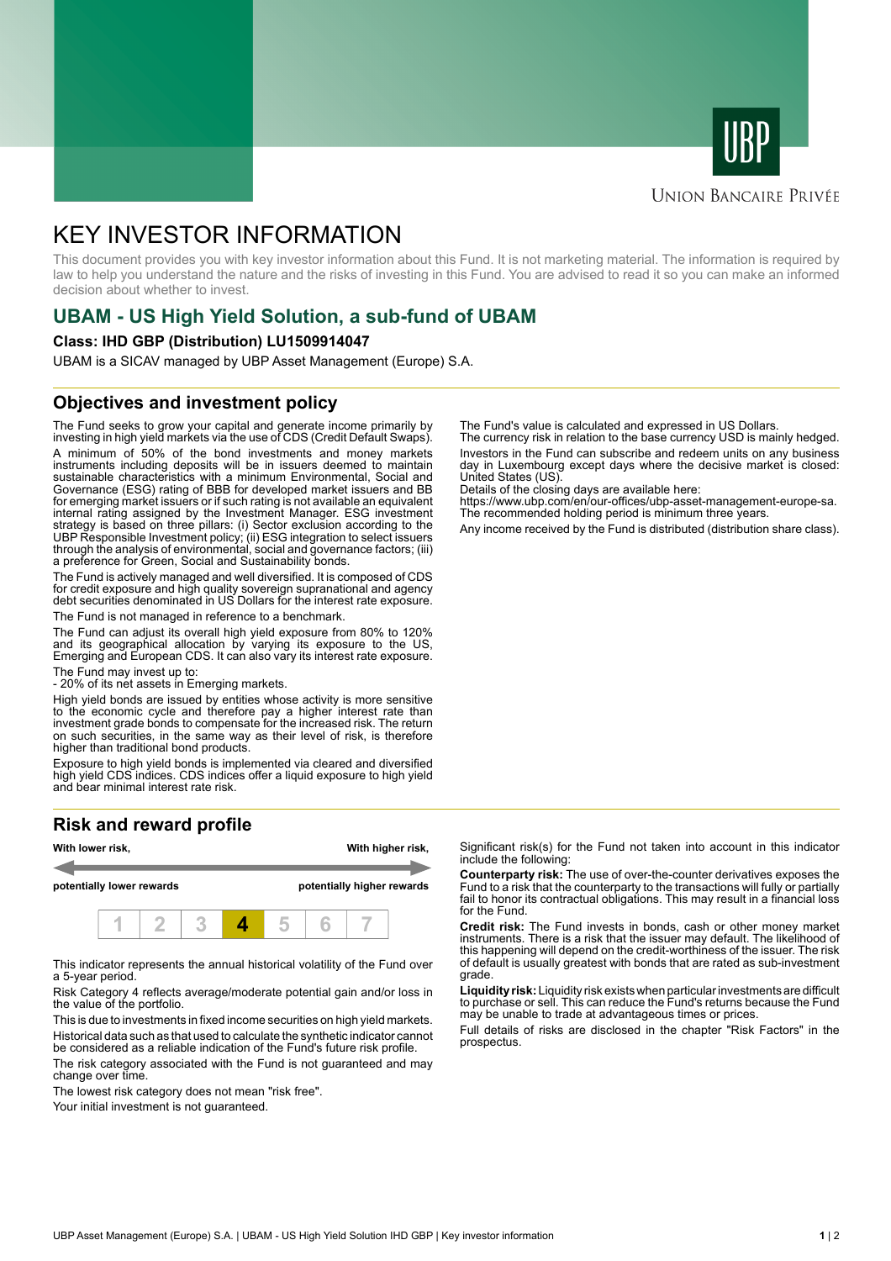



## **UNION BANCAIRE PRIVÉE**

# KEY INVESTOR INFORMATION

This document provides you with key investor information about this Fund. It is not marketing material. The information is required by law to help you understand the nature and the risks of investing in this Fund. You are advised to read it so you can make an informed decision about whether to invest.

# **UBAM - US High Yield Solution, a sub-fund of UBAM**

#### **Class: IHD GBP (Distribution) LU1509914047**

UBAM is a SICAV managed by UBP Asset Management (Europe) S.A.

## **Objectives and investment policy**

The Fund seeks to grow your capital and generate income primarily by investing in high yield markets via the use of CDS (Credit Default Swaps). A minimum of 50% of the bond investments and money markets instruments including deposits will be in issuers deemed to maintain sustainable characteristics with a minimum Environmental, Social and Governance (ESG) rating of BBB for developed market issuers and BB for emerging market issuers or if such rating is not available an equivalent internal rating assigned by the Investment Manager. ESG investment strategy is based on three pillars: (i) Sector exclusion according to the UBP Responsible Investment policy; (ii) ESG integration to select issuers through the analysis of environmental, social and governance factors; (iii) a preference for Green, Social and Sustainability bonds.

The Fund is actively managed and well diversified. It is composed of CDS for credit exposure and high quality sovereign supranational and agency debt securities denominated in US Dollars for the interest rate exposure. The Fund is not managed in reference to a benchmark.

The Fund can adjust its overall high yield exposure from 80% to 120% and its geographical allocation by varying its exposure to the US, Emerging and European CDS. It can also vary its interest rate exposure.

The Fund may invest up to:

- 20% of its net assets in Emerging markets.

High yield bonds are issued by entities whose activity is more sensitive to the economic cycle and therefore pay a higher interest rate than investment grade bonds to compensate for the increased risk. The return on such securities, in the same way as their level of risk, is therefore higher than traditional bond products.

Exposure to high yield bonds is implemented via cleared and diversified high yield CDS indices. CDS indices offer a liquid exposure to high yield and bear minimal interest rate risk.

# **Risk and reward profile**



This indicator represents the annual historical volatility of the Fund over a 5-year period.

Risk Category 4 reflects average/moderate potential gain and/or loss in the value of the portfolio.

This is due to investments in fixed income securities on high yield markets. Historical data such as that used to calculate the synthetic indicator cannot be considered as a reliable indication of the Fund's future risk profile. The risk category associated with the Fund is not guaranteed and may

change over time.

The lowest risk category does not mean "risk free".

Your initial investment is not guaranteed.

The Fund's value is calculated and expressed in US Dollars.

The currency risk in relation to the base currency USD is mainly hedged. Investors in the Fund can subscribe and redeem units on any business day in Luxembourg except days where the decisive market is closed: United States (US).

Details of the closing days are available here:

https://www.ubp.com/en/our-offices/ubp-asset-management-europe-sa. The recommended holding period is minimum three years.

Any income received by the Fund is distributed (distribution share class).

Significant risk(s) for the Fund not taken into account in this indicator include the following:

**Counterparty risk:** The use of over-the-counter derivatives exposes the Fund to a risk that the counterparty to the transactions will fully or partially fail to honor its contractual obligations. This may result in a financial loss for the Fund.

**Credit risk:** The Fund invests in bonds, cash or other money market instruments. There is a risk that the issuer may default. The likelihood of this happening will depend on the credit-worthiness of the issuer. The risk of default is usually greatest with bonds that are rated as sub-investment grade.

**Liquidity risk:** Liquidity risk exists when particular investments are difficult to purchase or sell. This can reduce the Fund's returns because the Fund may be unable to trade at advantageous times or prices.

Full details of risks are disclosed in the chapter "Risk Factors" in the prospectus.